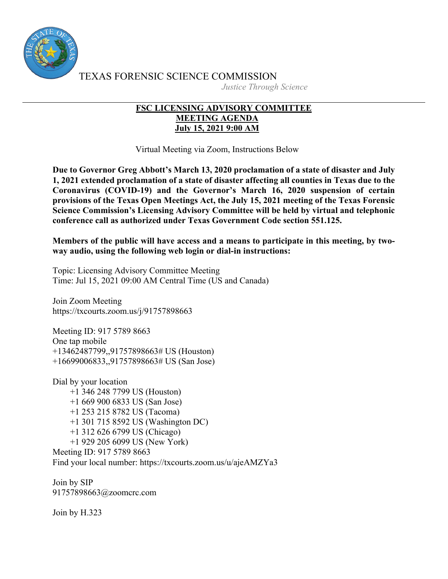

TEXAS FORENSIC SCIENCE COMMISSION *Justice Through Science*

## **FSC LICENSING ADVISORY COMMITTEE MEETING AGENDA July 15, 2021 9:00 AM**

Virtual Meeting via Zoom, Instructions Below

**Due to Governor Greg Abbott's March 13, 2020 proclamation of a state of disaster and July 1, 2021 extended proclamation of a state of disaster affecting all counties in Texas due to the Coronavirus (COVID-19) and the Governor's March 16, 2020 suspension of certain provisions of the Texas Open Meetings Act, the July 15, 2021 meeting of the Texas Forensic Science Commission's Licensing Advisory Committee will be held by virtual and telephonic conference call as authorized under Texas Government Code section 551.125.**

**Members of the public will have access and a means to participate in this meeting, by twoway audio, using the following web login or dial-in instructions:**

Topic: Licensing Advisory Committee Meeting Time: Jul 15, 2021 09:00 AM Central Time (US and Canada)

Join Zoom Meeting https://txcourts.zoom.us/j/91757898663

Meeting ID: 917 5789 8663 One tap mobile +13462487799,,91757898663# US (Houston) +16699006833,,91757898663# US (San Jose)

Dial by your location +1 346 248 7799 US (Houston) +1 669 900 6833 US (San Jose) +1 253 215 8782 US (Tacoma) +1 301 715 8592 US (Washington DC) +1 312 626 6799 US (Chicago) +1 929 205 6099 US (New York) Meeting ID: 917 5789 8663 Find your local number: https://txcourts.zoom.us/u/ajeAMZYa3

Join by SIP 91757898663@zoomcrc.com

Join by H.323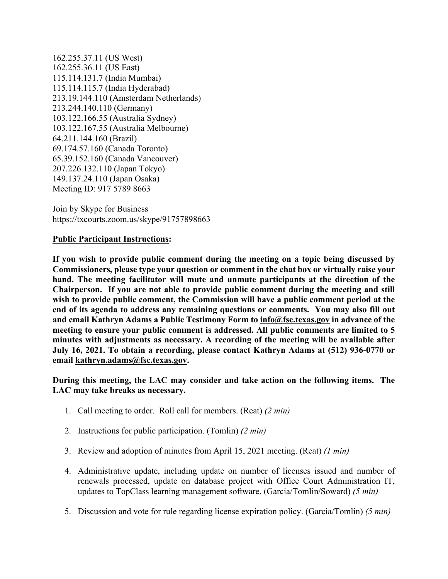162.255.37.11 (US West) 162.255.36.11 (US East) 115.114.131.7 (India Mumbai) 115.114.115.7 (India Hyderabad) 213.19.144.110 (Amsterdam Netherlands) 213.244.140.110 (Germany) 103.122.166.55 (Australia Sydney) 103.122.167.55 (Australia Melbourne) 64.211.144.160 (Brazil) 69.174.57.160 (Canada Toronto) 65.39.152.160 (Canada Vancouver) 207.226.132.110 (Japan Tokyo) 149.137.24.110 (Japan Osaka) Meeting ID: 917 5789 8663

Join by Skype for Business https://txcourts.zoom.us/skype/91757898663

## **Public Participant Instructions:**

**If you wish to provide public comment during the meeting on a topic being discussed by Commissioners, please type your question or comment in the chat box or virtually raise your hand. The meeting facilitator will mute and unmute participants at the direction of the Chairperson. If you are not able to provide public comment during the meeting and still wish to provide public comment, the Commission will have a public comment period at the end of its agenda to address any remaining questions or comments. You may also fill out and email Kathryn Adams a Public Testimony Form to info@fsc.texas.gov in advance of the meeting to ensure your public comment is addressed. All public comments are limited to 5 minutes with adjustments as necessary. A recording of the meeting will be available after July 16, 2021. To obtain a recording, please contact Kathryn Adams at (512) 936-0770 or email kathryn.adams@fsc.texas.gov.**

**During this meeting, the LAC may consider and take action on the following items. The LAC may take breaks as necessary.**

- 1. Call meeting to order. Roll call for members. (Reat) *(2 min)*
- 2. Instructions for public participation. (Tomlin) *(2 min)*
- 3. Review and adoption of minutes from April 15, 2021 meeting. (Reat) *(1 min)*
- 4. Administrative update, including update on number of licenses issued and number of renewals processed, update on database project with Office Court Administration IT, updates to TopClass learning management software. (Garcia/Tomlin/Soward) *(5 min)*
- 5. Discussion and vote for rule regarding license expiration policy. (Garcia/Tomlin) *(5 min)*